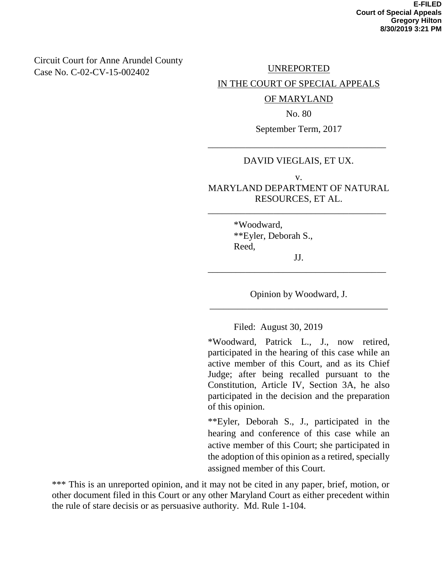## Circuit Court for Anne Arundel County Case No. C-02-CV-15-002402

UNREPORTED

IN THE COURT OF SPECIAL APPEALS

OF MARYLAND

No. 80

September Term, 2017

#### DAVID VIEGLAIS, ET UX.

\_\_\_\_\_\_\_\_\_\_\_\_\_\_\_\_\_\_\_\_\_\_\_\_\_\_\_\_\_\_\_\_\_\_\_\_\_\_

v. MARYLAND DEPARTMENT OF NATURAL RESOURCES, ET AL.

\_\_\_\_\_\_\_\_\_\_\_\_\_\_\_\_\_\_\_\_\_\_\_\_\_\_\_\_\_\_\_\_\_\_\_\_\_\_

\*Woodward, \*\*Eyler, Deborah S., Reed, JJ.

Opinion by Woodward, J. \_\_\_\_\_\_\_\_\_\_\_\_\_\_\_\_\_\_\_\_\_\_\_\_\_\_\_\_\_\_\_\_\_\_\_\_\_\_

\_\_\_\_\_\_\_\_\_\_\_\_\_\_\_\_\_\_\_\_\_\_\_\_\_\_\_\_\_\_\_\_\_\_\_\_\_\_

Filed: August 30, 2019

\*Woodward, Patrick L., J., now retired, participated in the hearing of this case while an active member of this Court, and as its Chief Judge; after being recalled pursuant to the Constitution, Article IV, Section 3A, he also participated in the decision and the preparation of this opinion.

\*\*Eyler, Deborah S., J., participated in the hearing and conference of this case while an active member of this Court; she participated in the adoption of this opinion as a retired, specially assigned member of this Court.

\*\*\* This is an unreported opinion, and it may not be cited in any paper, brief, motion, or other document filed in this Court or any other Maryland Court as either precedent within the rule of stare decisis or as persuasive authority. Md. Rule 1-104.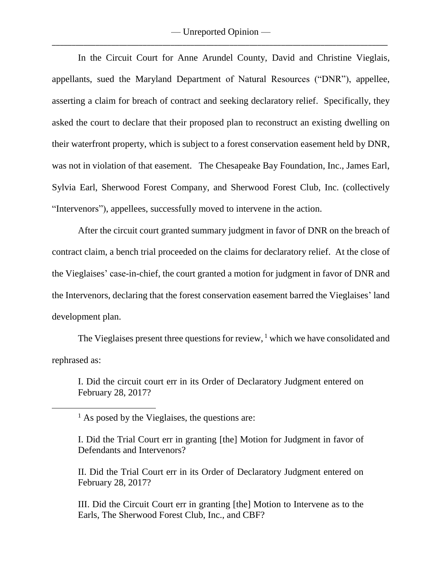In the Circuit Court for Anne Arundel County, David and Christine Vieglais, appellants, sued the Maryland Department of Natural Resources ("DNR"), appellee, asserting a claim for breach of contract and seeking declaratory relief. Specifically, they asked the court to declare that their proposed plan to reconstruct an existing dwelling on their waterfront property, which is subject to a forest conservation easement held by DNR, was not in violation of that easement. The Chesapeake Bay Foundation, Inc., James Earl, Sylvia Earl, Sherwood Forest Company, and Sherwood Forest Club, Inc. (collectively "Intervenors"), appellees, successfully moved to intervene in the action.

After the circuit court granted summary judgment in favor of DNR on the breach of contract claim, a bench trial proceeded on the claims for declaratory relief. At the close of the Vieglaises' case-in-chief, the court granted a motion for judgment in favor of DNR and the Intervenors, declaring that the forest conservation easement barred the Vieglaises' land development plan.

The Vieglaises present three questions for review, <sup>1</sup> which we have consolidated and rephrased as:

I. Did the circuit court err in its Order of Declaratory Judgment entered on February 28, 2017?

 $\overline{\phantom{a}}$ 

II. Did the Trial Court err in its Order of Declaratory Judgment entered on February 28, 2017?

III. Did the Circuit Court err in granting [the] Motion to Intervene as to the Earls, The Sherwood Forest Club, Inc., and CBF?

 $<sup>1</sup>$  As posed by the Vieglaises, the questions are:</sup>

I. Did the Trial Court err in granting [the] Motion for Judgment in favor of Defendants and Intervenors?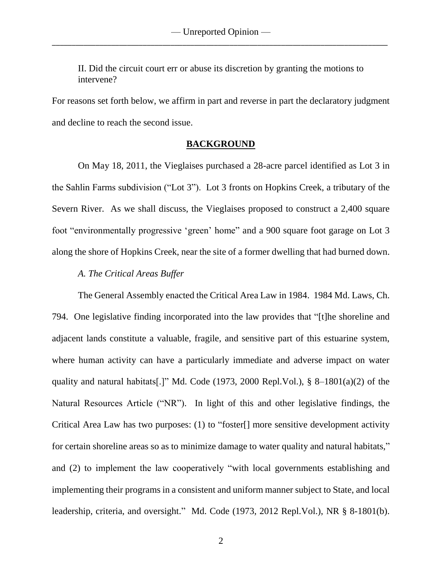II. Did the circuit court err or abuse its discretion by granting the motions to intervene?

For reasons set forth below, we affirm in part and reverse in part the declaratory judgment and decline to reach the second issue.

#### **BACKGROUND**

On May 18, 2011, the Vieglaises purchased a 28-acre parcel identified as Lot 3 in the Sahlin Farms subdivision ("Lot 3"). Lot 3 fronts on Hopkins Creek, a tributary of the Severn River. As we shall discuss, the Vieglaises proposed to construct a 2,400 square foot "environmentally progressive 'green' home" and a 900 square foot garage on Lot 3 along the shore of Hopkins Creek, near the site of a former dwelling that had burned down.

### *A. The Critical Areas Buffer*

The General Assembly enacted the Critical Area Law in 1984. 1984 Md. Laws, Ch. 794. One legislative finding incorporated into the law provides that "[t]he shoreline and adjacent lands constitute a valuable, fragile, and sensitive part of this estuarine system, where human activity can have a particularly immediate and adverse impact on water quality and natural habitats[.]" Md. Code (1973, 2000 Repl.Vol.),  $\S$  8-1801(a)(2) of the Natural Resources Article ("NR"). In light of this and other legislative findings, the Critical Area Law has two purposes: (1) to "foster[] more sensitive development activity for certain shoreline areas so as to minimize damage to water quality and natural habitats," and (2) to implement the law cooperatively "with local governments establishing and implementing their programs in a consistent and uniform manner subject to State, and local leadership, criteria, and oversight." Md. Code (1973, 2012 Repl.Vol.), NR § 8-1801(b).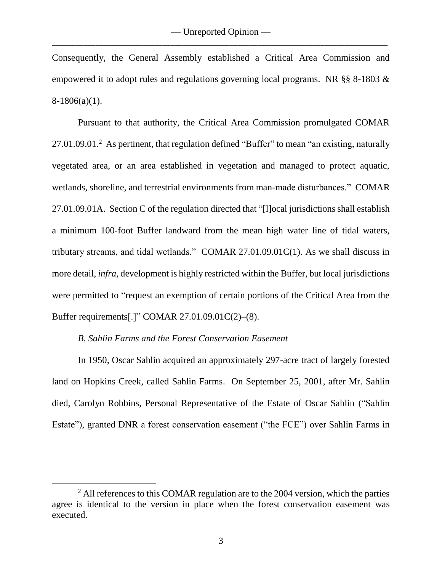Consequently, the General Assembly established a Critical Area Commission and empowered it to adopt rules and regulations governing local programs. NR §§ 8-1803 &  $8-1806(a)(1)$ .

Pursuant to that authority, the Critical Area Commission promulgated COMAR 27.01.09.01.<sup>2</sup> As pertinent, that regulation defined "Buffer" to mean "an existing, naturally vegetated area, or an area established in vegetation and managed to protect aquatic, wetlands, shoreline, and terrestrial environments from man-made disturbances." COMAR 27.01.09.01A. Section C of the regulation directed that "[l]ocal jurisdictions shall establish a minimum 100-foot Buffer landward from the mean high water line of tidal waters, tributary streams, and tidal wetlands." COMAR 27.01.09.01C(1). As we shall discuss in more detail, *infra*, development is highly restricted within the Buffer, but local jurisdictions were permitted to "request an exemption of certain portions of the Critical Area from the Buffer requirements[.]" COMAR 27.01.09.01C(2)–(8).

### *B. Sahlin Farms and the Forest Conservation Easement*

 $\overline{\phantom{a}}$ 

In 1950, Oscar Sahlin acquired an approximately 297-acre tract of largely forested land on Hopkins Creek, called Sahlin Farms. On September 25, 2001, after Mr. Sahlin died, Carolyn Robbins, Personal Representative of the Estate of Oscar Sahlin ("Sahlin Estate"), granted DNR a forest conservation easement ("the FCE") over Sahlin Farms in

<sup>&</sup>lt;sup>2</sup> All references to this COMAR regulation are to the 2004 version, which the parties agree is identical to the version in place when the forest conservation easement was executed.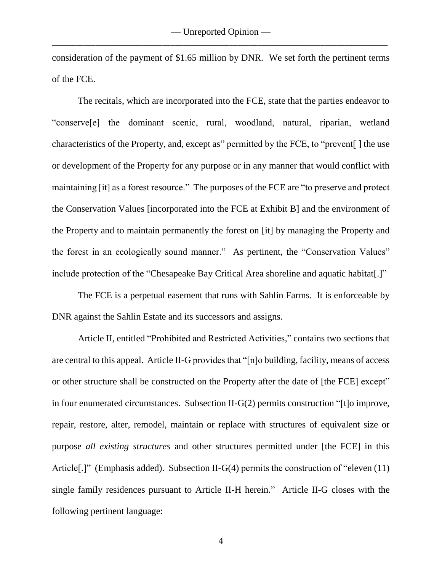consideration of the payment of \$1.65 million by DNR. We set forth the pertinent terms of the FCE.

The recitals, which are incorporated into the FCE, state that the parties endeavor to "conserve[e] the dominant scenic, rural, woodland, natural, riparian, wetland characteristics of the Property, and, except as" permitted by the FCE, to "prevent[ ] the use or development of the Property for any purpose or in any manner that would conflict with maintaining [it] as a forest resource." The purposes of the FCE are "to preserve and protect the Conservation Values [incorporated into the FCE at Exhibit B] and the environment of the Property and to maintain permanently the forest on [it] by managing the Property and the forest in an ecologically sound manner." As pertinent, the "Conservation Values" include protection of the "Chesapeake Bay Critical Area shoreline and aquatic habitat[.]"

The FCE is a perpetual easement that runs with Sahlin Farms. It is enforceable by DNR against the Sahlin Estate and its successors and assigns.

Article II, entitled "Prohibited and Restricted Activities," contains two sections that are central to this appeal. Article II-G provides that "[n]o building, facility, means of access or other structure shall be constructed on the Property after the date of [the FCE] except" in four enumerated circumstances. Subsection II-G(2) permits construction "[t]o improve, repair, restore, alter, remodel, maintain or replace with structures of equivalent size or purpose *all existing structures* and other structures permitted under [the FCE] in this Article<sup>[.]</sup>" (Emphasis added). Subsection II-G(4) permits the construction of "eleven (11) single family residences pursuant to Article II-H herein." Article II-G closes with the following pertinent language: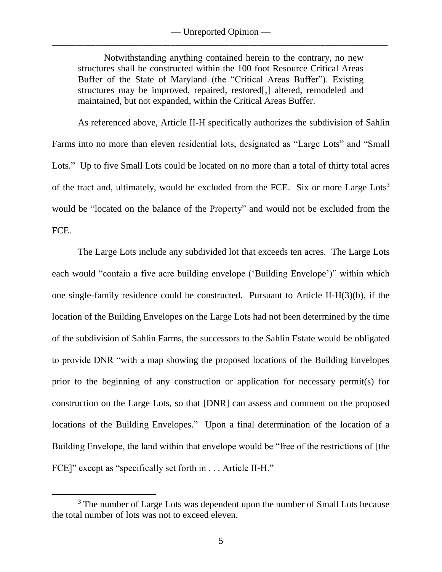Notwithstanding anything contained herein to the contrary, no new structures shall be constructed within the 100 foot Resource Critical Areas Buffer of the State of Maryland (the "Critical Areas Buffer"). Existing structures may be improved, repaired, restored[,] altered, remodeled and maintained, but not expanded, within the Critical Areas Buffer.

As referenced above, Article II-H specifically authorizes the subdivision of Sahlin Farms into no more than eleven residential lots, designated as "Large Lots" and "Small Lots." Up to five Small Lots could be located on no more than a total of thirty total acres of the tract and, ultimately, would be excluded from the FCE. Six or more Large Lots<sup>3</sup> would be "located on the balance of the Property" and would not be excluded from the FCE.

The Large Lots include any subdivided lot that exceeds ten acres. The Large Lots each would "contain a five acre building envelope ('Building Envelope')" within which one single-family residence could be constructed. Pursuant to Article II-H(3)(b), if the location of the Building Envelopes on the Large Lots had not been determined by the time of the subdivision of Sahlin Farms, the successors to the Sahlin Estate would be obligated to provide DNR "with a map showing the proposed locations of the Building Envelopes prior to the beginning of any construction or application for necessary permit(s) for construction on the Large Lots, so that [DNR] can assess and comment on the proposed locations of the Building Envelopes." Upon a final determination of the location of a Building Envelope, the land within that envelope would be "free of the restrictions of [the FCE]" except as "specifically set forth in . . . Article II-H."

 $\overline{\phantom{a}}$ 

<sup>&</sup>lt;sup>3</sup> The number of Large Lots was dependent upon the number of Small Lots because the total number of lots was not to exceed eleven.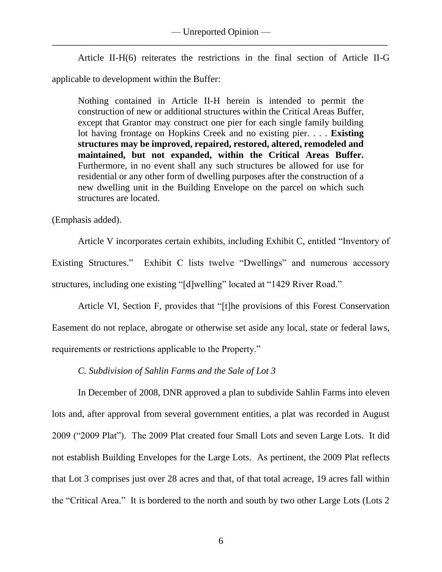Article II-H(6) reiterates the restrictions in the final section of Article II-G applicable to development within the Buffer:

Nothing contained in Article II-H herein is intended to permit the construction of new or additional structures within the Critical Areas Buffer, except that Grantor may construct one pier for each single family building lot having frontage on Hopkins Creek and no existing pier. . . . **Existing structures may be improved, repaired, restored, altered, remodeled and maintained, but not expanded, within the Critical Areas Buffer.** Furthermore, in no event shall any such structures be allowed for use for residential or any other form of dwelling purposes after the construction of a new dwelling unit in the Building Envelope on the parcel on which such structures are located.

(Emphasis added).

Article V incorporates certain exhibits, including Exhibit C, entitled "Inventory of Existing Structures." Exhibit C lists twelve "Dwellings" and numerous accessory structures, including one existing "[d]welling" located at "1429 River Road."

Article VI, Section F, provides that "[t]he provisions of this Forest Conservation Easement do not replace, abrogate or otherwise set aside any local, state or federal laws, requirements or restrictions applicable to the Property."

*C. Subdivision of Sahlin Farms and the Sale of Lot 3*

In December of 2008, DNR approved a plan to subdivide Sahlin Farms into eleven lots and, after approval from several government entities, a plat was recorded in August 2009 ("2009 Plat"). The 2009 Plat created four Small Lots and seven Large Lots. It did not establish Building Envelopes for the Large Lots. As pertinent, the 2009 Plat reflects that Lot 3 comprises just over 28 acres and that, of that total acreage, 19 acres fall within the "Critical Area." It is bordered to the north and south by two other Large Lots (Lots 2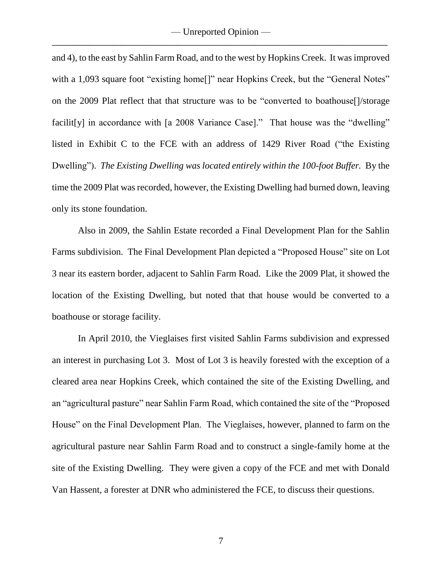and 4), to the east by Sahlin Farm Road, and to the west by Hopkins Creek. It was improved with a 1,093 square foot "existing home<sup>[]"</sup> near Hopkins Creek, but the "General Notes" on the 2009 Plat reflect that that structure was to be "converted to boathouse[]/storage facilit [y] in accordance with [a 2008 Variance Case]." That house was the "dwelling" listed in Exhibit C to the FCE with an address of 1429 River Road ("the Existing Dwelling"). *The Existing Dwelling was located entirely within the 100-foot Buffer.* By the time the 2009 Plat was recorded, however, the Existing Dwelling had burned down, leaving only its stone foundation.

Also in 2009, the Sahlin Estate recorded a Final Development Plan for the Sahlin Farms subdivision. The Final Development Plan depicted a "Proposed House" site on Lot 3 near its eastern border, adjacent to Sahlin Farm Road. Like the 2009 Plat, it showed the location of the Existing Dwelling, but noted that that house would be converted to a boathouse or storage facility.

In April 2010, the Vieglaises first visited Sahlin Farms subdivision and expressed an interest in purchasing Lot 3. Most of Lot 3 is heavily forested with the exception of a cleared area near Hopkins Creek, which contained the site of the Existing Dwelling, and an "agricultural pasture" near Sahlin Farm Road, which contained the site of the "Proposed House" on the Final Development Plan. The Vieglaises, however, planned to farm on the agricultural pasture near Sahlin Farm Road and to construct a single-family home at the site of the Existing Dwelling. They were given a copy of the FCE and met with Donald Van Hassent, a forester at DNR who administered the FCE, to discuss their questions.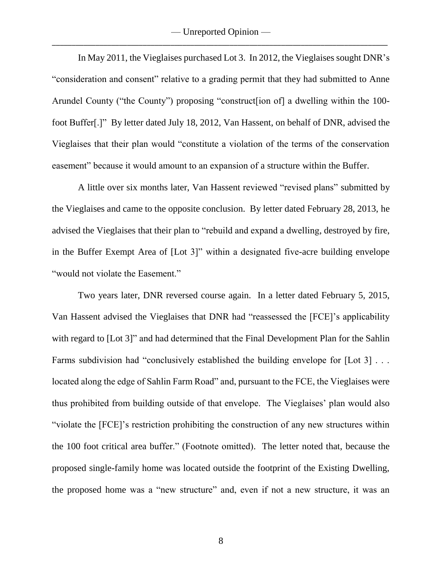— Unreported Opinion — \_\_\_\_\_\_\_\_\_\_\_\_\_\_\_\_\_\_\_\_\_\_\_\_\_\_\_\_\_\_\_\_\_\_\_\_\_\_\_\_\_\_\_\_\_\_\_\_\_\_\_\_\_\_\_\_\_\_\_\_\_\_\_\_\_\_\_\_\_\_\_\_\_\_\_\_\_\_\_\_\_\_\_\_\_

In May 2011, the Vieglaises purchased Lot 3. In 2012, the Vieglaises sought DNR's "consideration and consent" relative to a grading permit that they had submitted to Anne Arundel County ("the County") proposing "construct[ion of] a dwelling within the 100 foot Buffer[.]" By letter dated July 18, 2012, Van Hassent, on behalf of DNR, advised the Vieglaises that their plan would "constitute a violation of the terms of the conservation easement" because it would amount to an expansion of a structure within the Buffer.

A little over six months later, Van Hassent reviewed "revised plans" submitted by the Vieglaises and came to the opposite conclusion. By letter dated February 28, 2013, he advised the Vieglaises that their plan to "rebuild and expand a dwelling, destroyed by fire, in the Buffer Exempt Area of [Lot 3]" within a designated five-acre building envelope "would not violate the Easement."

Two years later, DNR reversed course again. In a letter dated February 5, 2015, Van Hassent advised the Vieglaises that DNR had "reassessed the [FCE]'s applicability with regard to [Lot 3]" and had determined that the Final Development Plan for the Sahlin Farms subdivision had "conclusively established the building envelope for [Lot 3] ... located along the edge of Sahlin Farm Road" and, pursuant to the FCE, the Vieglaises were thus prohibited from building outside of that envelope. The Vieglaises' plan would also "violate the [FCE]'s restriction prohibiting the construction of any new structures within the 100 foot critical area buffer." (Footnote omitted). The letter noted that, because the proposed single-family home was located outside the footprint of the Existing Dwelling, the proposed home was a "new structure" and, even if not a new structure, it was an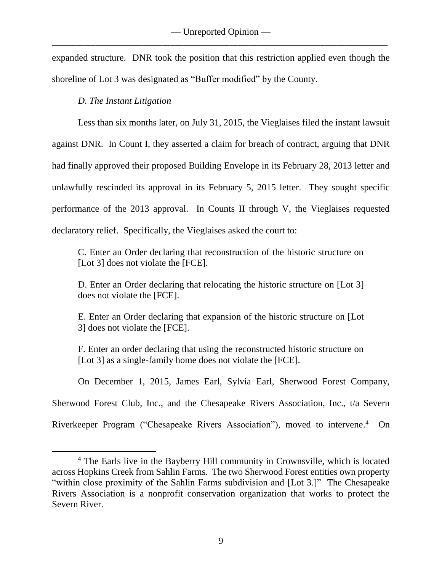expanded structure. DNR took the position that this restriction applied even though the shoreline of Lot 3 was designated as "Buffer modified" by the County.

# *D. The Instant Litigation*

 $\overline{\phantom{a}}$ 

Less than six months later, on July 31, 2015, the Vieglaises filed the instant lawsuit against DNR. In Count I, they asserted a claim for breach of contract, arguing that DNR had finally approved their proposed Building Envelope in its February 28, 2013 letter and unlawfully rescinded its approval in its February 5, 2015 letter. They sought specific performance of the 2013 approval. In Counts II through V, the Vieglaises requested declaratory relief. Specifically, the Vieglaises asked the court to:

C. Enter an Order declaring that reconstruction of the historic structure on [Lot 3] does not violate the [FCE].

D. Enter an Order declaring that relocating the historic structure on [Lot 3] does not violate the [FCE].

E. Enter an Order declaring that expansion of the historic structure on [Lot 3] does not violate the [FCE].

F. Enter an order declaring that using the reconstructed historic structure on [Lot 3] as a single-family home does not violate the [FCE].

On December 1, 2015, James Earl, Sylvia Earl, Sherwood Forest Company,

Sherwood Forest Club, Inc., and the Chesapeake Rivers Association, Inc., t/a Severn

Riverkeeper Program ("Chesapeake Rivers Association"), moved to intervene.<sup>4</sup> On

<sup>&</sup>lt;sup>4</sup> The Earls live in the Bayberry Hill community in Crownsville, which is located across Hopkins Creek from Sahlin Farms. The two Sherwood Forest entities own property "within close proximity of the Sahlin Farms subdivision and [Lot 3.]" The Chesapeake Rivers Association is a nonprofit conservation organization that works to protect the Severn River.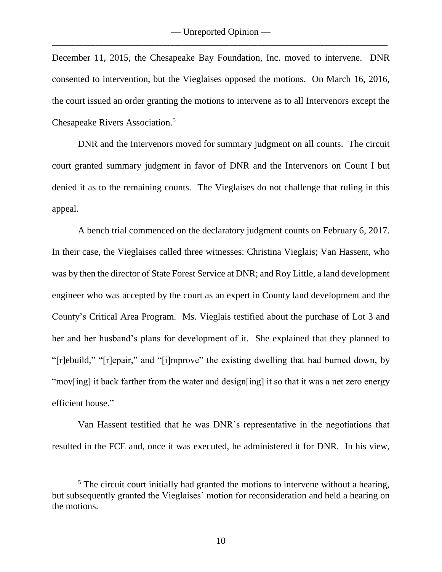December 11, 2015, the Chesapeake Bay Foundation, Inc. moved to intervene. DNR consented to intervention, but the Vieglaises opposed the motions. On March 16, 2016, the court issued an order granting the motions to intervene as to all Intervenors except the Chesapeake Rivers Association.<sup>5</sup>

DNR and the Intervenors moved for summary judgment on all counts. The circuit court granted summary judgment in favor of DNR and the Intervenors on Count I but denied it as to the remaining counts. The Vieglaises do not challenge that ruling in this appeal.

A bench trial commenced on the declaratory judgment counts on February 6, 2017. In their case, the Vieglaises called three witnesses: Christina Vieglais; Van Hassent, who was by then the director of State Forest Service at DNR; and Roy Little, a land development engineer who was accepted by the court as an expert in County land development and the County's Critical Area Program. Ms. Vieglais testified about the purchase of Lot 3 and her and her husband's plans for development of it. She explained that they planned to "[r]ebuild," "[r]epair," and "[i]mprove" the existing dwelling that had burned down, by "mov[ing] it back farther from the water and design[ing] it so that it was a net zero energy efficient house."

Van Hassent testified that he was DNR's representative in the negotiations that resulted in the FCE and, once it was executed, he administered it for DNR. In his view,

 $\overline{\phantom{a}}$ 

 $<sup>5</sup>$  The circuit court initially had granted the motions to intervene without a hearing,</sup> but subsequently granted the Vieglaises' motion for reconsideration and held a hearing on the motions.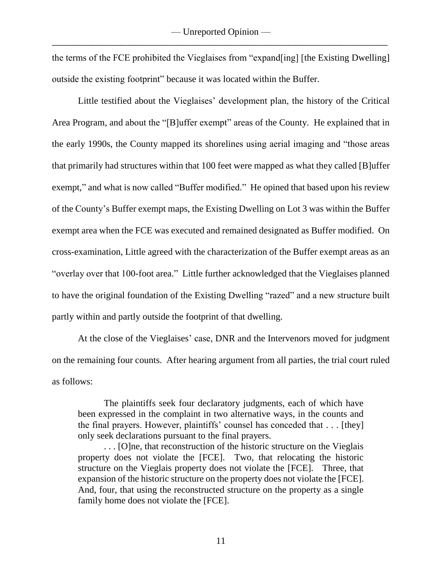the terms of the FCE prohibited the Vieglaises from "expand[ing] [the Existing Dwelling] outside the existing footprint" because it was located within the Buffer.

Little testified about the Vieglaises' development plan, the history of the Critical Area Program, and about the "[B]uffer exempt" areas of the County. He explained that in the early 1990s, the County mapped its shorelines using aerial imaging and "those areas that primarily had structures within that 100 feet were mapped as what they called [B]uffer exempt," and what is now called "Buffer modified." He opined that based upon his review of the County's Buffer exempt maps, the Existing Dwelling on Lot 3 was within the Buffer exempt area when the FCE was executed and remained designated as Buffer modified. On cross-examination, Little agreed with the characterization of the Buffer exempt areas as an "overlay over that 100-foot area." Little further acknowledged that the Vieglaises planned to have the original foundation of the Existing Dwelling "razed" and a new structure built partly within and partly outside the footprint of that dwelling.

At the close of the Vieglaises' case, DNR and the Intervenors moved for judgment on the remaining four counts. After hearing argument from all parties, the trial court ruled as follows:

The plaintiffs seek four declaratory judgments, each of which have been expressed in the complaint in two alternative ways, in the counts and the final prayers. However, plaintiffs' counsel has conceded that . . . [they] only seek declarations pursuant to the final prayers.

. . . [O]ne, that reconstruction of the historic structure on the Vieglais property does not violate the [FCE]. Two, that relocating the historic structure on the Vieglais property does not violate the [FCE]. Three, that expansion of the historic structure on the property does not violate the [FCE]. And, four, that using the reconstructed structure on the property as a single family home does not violate the [FCE].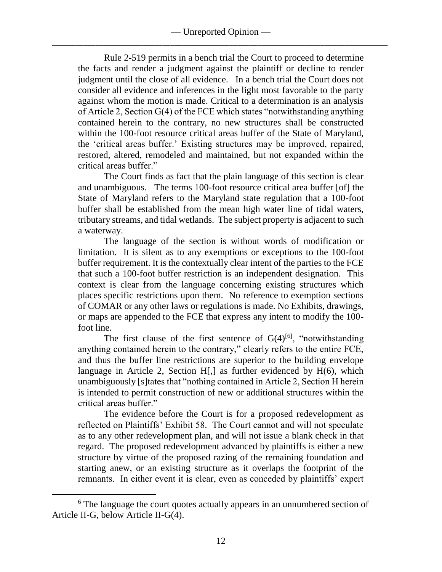Rule 2-519 permits in a bench trial the Court to proceed to determine the facts and render a judgment against the plaintiff or decline to render judgment until the close of all evidence. In a bench trial the Court does not consider all evidence and inferences in the light most favorable to the party against whom the motion is made. Critical to a determination is an analysis of Article 2, Section G(4) of the FCE which states "notwithstanding anything contained herein to the contrary, no new structures shall be constructed within the 100-foot resource critical areas buffer of the State of Maryland, the 'critical areas buffer.' Existing structures may be improved, repaired, restored, altered, remodeled and maintained, but not expanded within the critical areas buffer."

The Court finds as fact that the plain language of this section is clear and unambiguous. The terms 100-foot resource critical area buffer [of] the State of Maryland refers to the Maryland state regulation that a 100-foot buffer shall be established from the mean high water line of tidal waters, tributary streams, and tidal wetlands. The subject property is adjacent to such a waterway.

The language of the section is without words of modification or limitation. It is silent as to any exemptions or exceptions to the 100-foot buffer requirement. It is the contextually clear intent of the parties to the FCE that such a 100-foot buffer restriction is an independent designation. This context is clear from the language concerning existing structures which places specific restrictions upon them. No reference to exemption sections of COMAR or any other laws or regulations is made. No Exhibits, drawings, or maps are appended to the FCE that express any intent to modify the 100 foot line.

The first clause of the first sentence of  $G(4)^{[6]}$ , "notwithstanding anything contained herein to the contrary," clearly refers to the entire FCE, and thus the buffer line restrictions are superior to the building envelope language in Article 2, Section H[,] as further evidenced by H(6), which unambiguously [s]tates that "nothing contained in Article 2, Section H herein is intended to permit construction of new or additional structures within the critical areas buffer."

The evidence before the Court is for a proposed redevelopment as reflected on Plaintiffs' Exhibit 58. The Court cannot and will not speculate as to any other redevelopment plan, and will not issue a blank check in that regard. The proposed redevelopment advanced by plaintiffs is either a new structure by virtue of the proposed razing of the remaining foundation and starting anew, or an existing structure as it overlaps the footprint of the remnants. In either event it is clear, even as conceded by plaintiffs' expert

 $\overline{\phantom{a}}$ 

<sup>&</sup>lt;sup>6</sup> The language the court quotes actually appears in an unnumbered section of Article II-G, below Article II-G(4).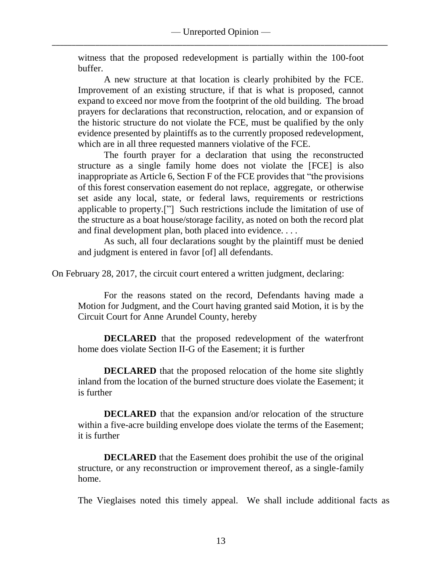witness that the proposed redevelopment is partially within the 100-foot buffer.

A new structure at that location is clearly prohibited by the FCE. Improvement of an existing structure, if that is what is proposed, cannot expand to exceed nor move from the footprint of the old building. The broad prayers for declarations that reconstruction, relocation, and or expansion of the historic structure do not violate the FCE, must be qualified by the only evidence presented by plaintiffs as to the currently proposed redevelopment, which are in all three requested manners violative of the FCE.

The fourth prayer for a declaration that using the reconstructed structure as a single family home does not violate the [FCE] is also inappropriate as Article 6, Section F of the FCE provides that "the provisions of this forest conservation easement do not replace, aggregate, or otherwise set aside any local, state, or federal laws, requirements or restrictions applicable to property.["] Such restrictions include the limitation of use of the structure as a boat house/storage facility, as noted on both the record plat and final development plan, both placed into evidence. . . .

As such, all four declarations sought by the plaintiff must be denied and judgment is entered in favor [of] all defendants.

On February 28, 2017, the circuit court entered a written judgment, declaring:

For the reasons stated on the record, Defendants having made a Motion for Judgment, and the Court having granted said Motion, it is by the Circuit Court for Anne Arundel County, hereby

**DECLARED** that the proposed redevelopment of the waterfront home does violate Section II-G of the Easement; it is further

**DECLARED** that the proposed relocation of the home site slightly inland from the location of the burned structure does violate the Easement; it is further

**DECLARED** that the expansion and/or relocation of the structure within a five-acre building envelope does violate the terms of the Easement; it is further

**DECLARED** that the Easement does prohibit the use of the original structure, or any reconstruction or improvement thereof, as a single-family home.

The Vieglaises noted this timely appeal. We shall include additional facts as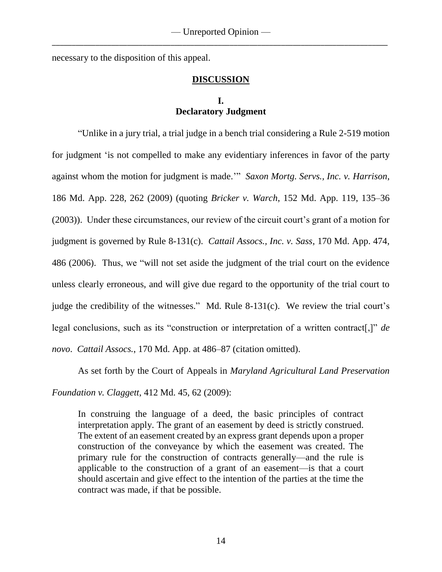necessary to the disposition of this appeal.

## **DISCUSSION**

# **I. Declaratory Judgment**

"Unlike in a jury trial, a trial judge in a bench trial considering a Rule 2-519 motion for judgment 'is not compelled to make any evidentiary inferences in favor of the party against whom the motion for judgment is made.'" *Saxon Mortg. Servs., Inc. v. Harrison*, 186 Md. App. 228, 262 (2009) (quoting *Bricker v. Warch*, 152 Md. App. 119, 135–36 (2003)). Under these circumstances, our review of the circuit court's grant of a motion for judgment is governed by Rule 8-131(c). *Cattail Assocs., Inc. v. Sass*, 170 Md. App. 474, 486 (2006). Thus, we "will not set aside the judgment of the trial court on the evidence unless clearly erroneous, and will give due regard to the opportunity of the trial court to judge the credibility of the witnesses." Md. Rule 8-131(c). We review the trial court's legal conclusions, such as its "construction or interpretation of a written contract[,]" *de novo*. *Cattail Assocs.*, 170 Md. App. at 486–87 (citation omitted).

As set forth by the Court of Appeals in *Maryland Agricultural Land Preservation* 

*Foundation v. Claggett*, 412 Md. 45, 62 (2009):

In construing the language of a deed, the basic principles of contract interpretation apply. The grant of an easement by deed is strictly construed. The extent of an easement created by an express grant depends upon a proper construction of the conveyance by which the easement was created. The primary rule for the construction of contracts generally—and the rule is applicable to the construction of a grant of an easement—is that a court should ascertain and give effect to the intention of the parties at the time the contract was made, if that be possible.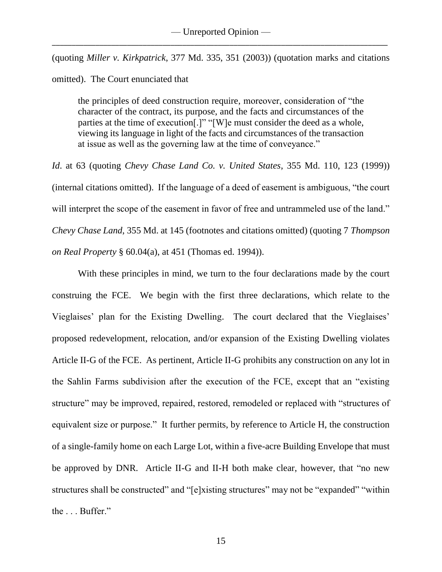(quoting *Miller v. Kirkpatrick*, 377 Md. 335, 351 (2003)) (quotation marks and citations omitted). The Court enunciated that

the principles of deed construction require, moreover, consideration of "the character of the contract, its purpose, and the facts and circumstances of the parties at the time of execution[.]" "[W]e must consider the deed as a whole, viewing its language in light of the facts and circumstances of the transaction at issue as well as the governing law at the time of conveyance."

*Id*. at 63 (quoting *Chevy Chase Land Co. v. United States*, 355 Md. 110, 123 (1999)) (internal citations omitted). If the language of a deed of easement is ambiguous, "the court will interpret the scope of the easement in favor of free and untrammeled use of the land." *Chevy Chase Land*, 355 Md. at 145 (footnotes and citations omitted) (quoting 7 *Thompson on Real Property* § 60.04(a), at 451 (Thomas ed. 1994)).

With these principles in mind, we turn to the four declarations made by the court construing the FCE. We begin with the first three declarations, which relate to the Vieglaises' plan for the Existing Dwelling. The court declared that the Vieglaises' proposed redevelopment, relocation, and/or expansion of the Existing Dwelling violates Article II-G of the FCE. As pertinent, Article II-G prohibits any construction on any lot in the Sahlin Farms subdivision after the execution of the FCE, except that an "existing structure" may be improved, repaired, restored, remodeled or replaced with "structures of equivalent size or purpose." It further permits, by reference to Article H, the construction of a single-family home on each Large Lot, within a five-acre Building Envelope that must be approved by DNR. Article II-G and II-H both make clear, however, that "no new structures shall be constructed" and "[e]xisting structures" may not be "expanded" "within the . . . Buffer."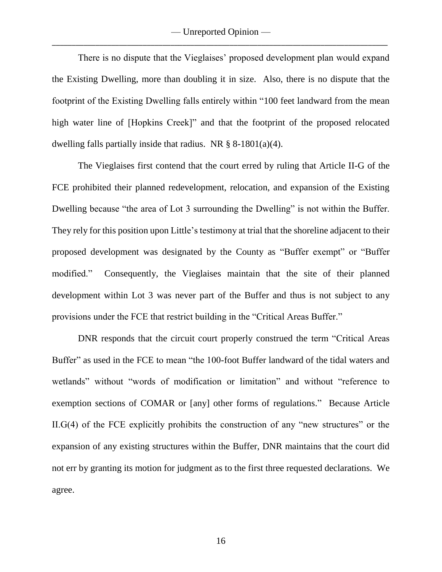— Unreported Opinion — \_\_\_\_\_\_\_\_\_\_\_\_\_\_\_\_\_\_\_\_\_\_\_\_\_\_\_\_\_\_\_\_\_\_\_\_\_\_\_\_\_\_\_\_\_\_\_\_\_\_\_\_\_\_\_\_\_\_\_\_\_\_\_\_\_\_\_\_\_\_\_\_\_\_\_\_\_\_\_\_\_\_\_\_\_

There is no dispute that the Vieglaises' proposed development plan would expand the Existing Dwelling, more than doubling it in size. Also, there is no dispute that the footprint of the Existing Dwelling falls entirely within "100 feet landward from the mean high water line of [Hopkins Creek]" and that the footprint of the proposed relocated dwelling falls partially inside that radius. NR  $\S$  8-1801(a)(4).

The Vieglaises first contend that the court erred by ruling that Article II-G of the FCE prohibited their planned redevelopment, relocation, and expansion of the Existing Dwelling because "the area of Lot 3 surrounding the Dwelling" is not within the Buffer. They rely for this position upon Little's testimony at trial that the shoreline adjacent to their proposed development was designated by the County as "Buffer exempt" or "Buffer modified." Consequently, the Vieglaises maintain that the site of their planned development within Lot 3 was never part of the Buffer and thus is not subject to any provisions under the FCE that restrict building in the "Critical Areas Buffer."

DNR responds that the circuit court properly construed the term "Critical Areas Buffer" as used in the FCE to mean "the 100-foot Buffer landward of the tidal waters and wetlands" without "words of modification or limitation" and without "reference to exemption sections of COMAR or [any] other forms of regulations." Because Article II.G(4) of the FCE explicitly prohibits the construction of any "new structures" or the expansion of any existing structures within the Buffer, DNR maintains that the court did not err by granting its motion for judgment as to the first three requested declarations. We agree.

16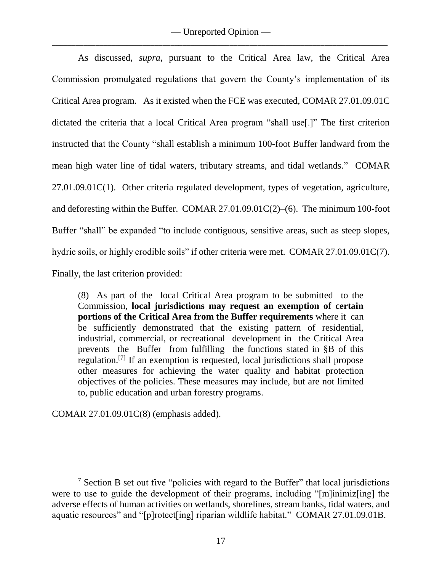As discussed, *supra*, pursuant to the Critical Area law, the Critical Area Commission promulgated regulations that govern the County's implementation of its Critical Area program. As it existed when the FCE was executed, COMAR 27.01.09.01C dictated the criteria that a local Critical Area program "shall use[.]" The first criterion instructed that the County "shall establish a minimum 100-foot Buffer landward from the mean high water line of tidal waters, tributary streams, and tidal wetlands." COMAR 27.01.09.01C(1). Other criteria regulated development, types of vegetation, agriculture, and deforesting within the Buffer. COMAR 27.01.09.01C(2)–(6). The minimum 100-foot Buffer "shall" be expanded "to include contiguous, sensitive areas, such as steep slopes, hydric soils, or highly erodible soils" if other criteria were met. COMAR 27.01.09.01C(7). Finally, the last criterion provided:

(8) As part of the local Critical Area program to be submitted to the Commission, **local jurisdictions may request an exemption of certain portions of the Critical Area from the Buffer requirements** where it can be sufficiently demonstrated that the existing pattern of residential, industrial, commercial, or recreational development in the Critical Area prevents the Buffer from fulfilling the functions stated in §B of this regulation.<sup>[7]</sup> If an exemption is requested, local jurisdictions shall propose other measures for achieving the water quality and habitat protection objectives of the policies. These measures may include, but are not limited to, public education and urban forestry programs.

COMAR 27.01.09.01C(8) (emphasis added).

l

 $<sup>7</sup>$  Section B set out five "policies with regard to the Buffer" that local jurisdictions</sup> were to use to guide the development of their programs, including "[m]inimiz[ing] the adverse effects of human activities on wetlands, shorelines, stream banks, tidal waters, and aquatic resources" and "[p]rotect[ing] riparian wildlife habitat." COMAR 27.01.09.01B.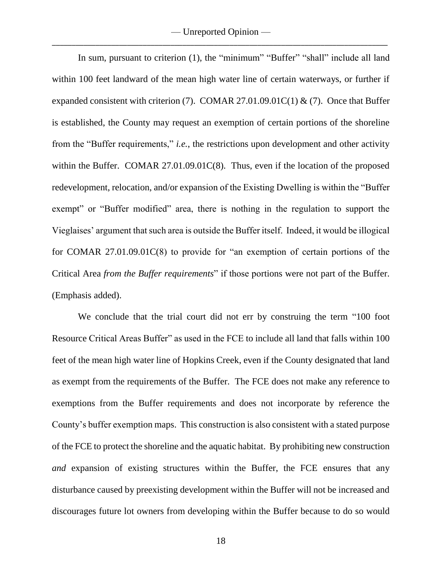In sum, pursuant to criterion (1), the "minimum" "Buffer" "shall" include all land within 100 feet landward of the mean high water line of certain waterways, or further if expanded consistent with criterion (7). COMAR 27.01.09.01C(1) & (7). Once that Buffer is established, the County may request an exemption of certain portions of the shoreline from the "Buffer requirements," *i.e.*, the restrictions upon development and other activity within the Buffer. COMAR 27.01.09.01C(8). Thus, even if the location of the proposed redevelopment, relocation, and/or expansion of the Existing Dwelling is within the "Buffer exempt" or "Buffer modified" area, there is nothing in the regulation to support the Vieglaises' argument that such area is outside the Buffer itself. Indeed, it would be illogical for COMAR 27.01.09.01C(8) to provide for "an exemption of certain portions of the Critical Area *from the Buffer requirements*" if those portions were not part of the Buffer. (Emphasis added).

We conclude that the trial court did not err by construing the term "100 foot Resource Critical Areas Buffer" as used in the FCE to include all land that falls within 100 feet of the mean high water line of Hopkins Creek, even if the County designated that land as exempt from the requirements of the Buffer. The FCE does not make any reference to exemptions from the Buffer requirements and does not incorporate by reference the County's buffer exemption maps. This construction is also consistent with a stated purpose of the FCE to protect the shoreline and the aquatic habitat. By prohibiting new construction *and* expansion of existing structures within the Buffer, the FCE ensures that any disturbance caused by preexisting development within the Buffer will not be increased and discourages future lot owners from developing within the Buffer because to do so would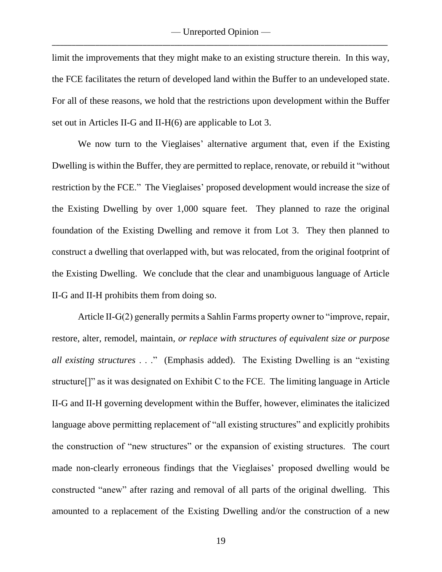limit the improvements that they might make to an existing structure therein. In this way, the FCE facilitates the return of developed land within the Buffer to an undeveloped state. For all of these reasons, we hold that the restrictions upon development within the Buffer set out in Articles II-G and II-H(6) are applicable to Lot 3.

We now turn to the Vieglaises' alternative argument that, even if the Existing Dwelling is within the Buffer, they are permitted to replace, renovate, or rebuild it "without restriction by the FCE." The Vieglaises' proposed development would increase the size of the Existing Dwelling by over 1,000 square feet. They planned to raze the original foundation of the Existing Dwelling and remove it from Lot 3. They then planned to construct a dwelling that overlapped with, but was relocated, from the original footprint of the Existing Dwelling. We conclude that the clear and unambiguous language of Article II-G and II-H prohibits them from doing so.

Article II-G(2) generally permits a Sahlin Farms property owner to "improve, repair, restore, alter, remodel, maintain, *or replace with structures of equivalent size or purpose all existing structures* . . ." (Emphasis added). The Existing Dwelling is an "existing structure[]" as it was designated on Exhibit C to the FCE. The limiting language in Article II-G and II-H governing development within the Buffer, however, eliminates the italicized language above permitting replacement of "all existing structures" and explicitly prohibits the construction of "new structures" or the expansion of existing structures. The court made non-clearly erroneous findings that the Vieglaises' proposed dwelling would be constructed "anew" after razing and removal of all parts of the original dwelling. This amounted to a replacement of the Existing Dwelling and/or the construction of a new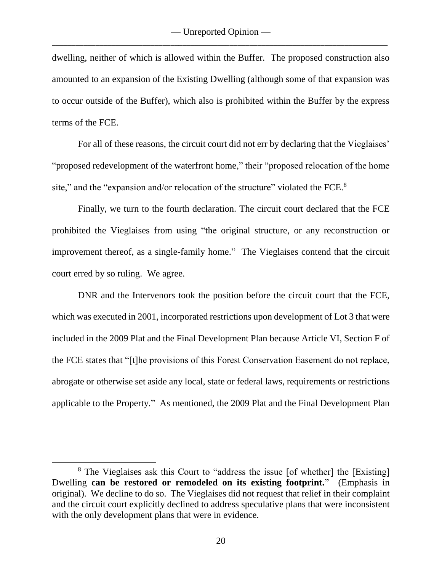dwelling, neither of which is allowed within the Buffer. The proposed construction also amounted to an expansion of the Existing Dwelling (although some of that expansion was to occur outside of the Buffer), which also is prohibited within the Buffer by the express terms of the FCE.

For all of these reasons, the circuit court did not err by declaring that the Vieglaises' "proposed redevelopment of the waterfront home," their "proposed relocation of the home site," and the "expansion and/or relocation of the structure" violated the FCE. $8$ 

Finally, we turn to the fourth declaration. The circuit court declared that the FCE prohibited the Vieglaises from using "the original structure, or any reconstruction or improvement thereof, as a single-family home." The Vieglaises contend that the circuit court erred by so ruling. We agree.

DNR and the Intervenors took the position before the circuit court that the FCE, which was executed in 2001, incorporated restrictions upon development of Lot 3 that were included in the 2009 Plat and the Final Development Plan because Article VI, Section F of the FCE states that "[t]he provisions of this Forest Conservation Easement do not replace, abrogate or otherwise set aside any local, state or federal laws, requirements or restrictions applicable to the Property." As mentioned, the 2009 Plat and the Final Development Plan

l

<sup>&</sup>lt;sup>8</sup> The Vieglaises ask this Court to "address the issue [of whether] the [Existing] Dwelling **can be restored or remodeled on its existing footprint.**" (Emphasis in original). We decline to do so. The Vieglaises did not request that relief in their complaint and the circuit court explicitly declined to address speculative plans that were inconsistent with the only development plans that were in evidence.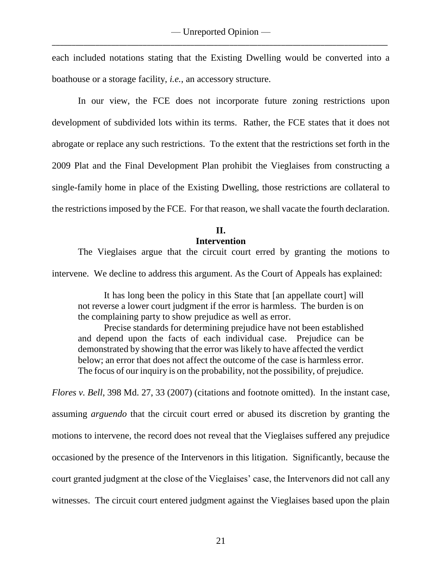each included notations stating that the Existing Dwelling would be converted into a boathouse or a storage facility, *i.e.*, an accessory structure.

In our view, the FCE does not incorporate future zoning restrictions upon development of subdivided lots within its terms. Rather, the FCE states that it does not abrogate or replace any such restrictions. To the extent that the restrictions set forth in the 2009 Plat and the Final Development Plan prohibit the Vieglaises from constructing a single-family home in place of the Existing Dwelling, those restrictions are collateral to the restrictions imposed by the FCE. For that reason, we shall vacate the fourth declaration.

> **II. Intervention**

The Vieglaises argue that the circuit court erred by granting the motions to

intervene. We decline to address this argument. As the Court of Appeals has explained:

It has long been the policy in this State that [an appellate court] will not reverse a lower court judgment if the error is harmless. The burden is on the complaining party to show prejudice as well as error.

Precise standards for determining prejudice have not been established and depend upon the facts of each individual case. Prejudice can be demonstrated by showing that the error was likely to have affected the verdict below; an error that does not affect the outcome of the case is harmless error. The focus of our inquiry is on the probability, not the possibility, of prejudice.

*Flores v. Bell*, 398 Md. 27, 33 (2007) (citations and footnote omitted). In the instant case, assuming *arguendo* that the circuit court erred or abused its discretion by granting the motions to intervene, the record does not reveal that the Vieglaises suffered any prejudice occasioned by the presence of the Intervenors in this litigation. Significantly, because the court granted judgment at the close of the Vieglaises' case, the Intervenors did not call any witnesses. The circuit court entered judgment against the Vieglaises based upon the plain